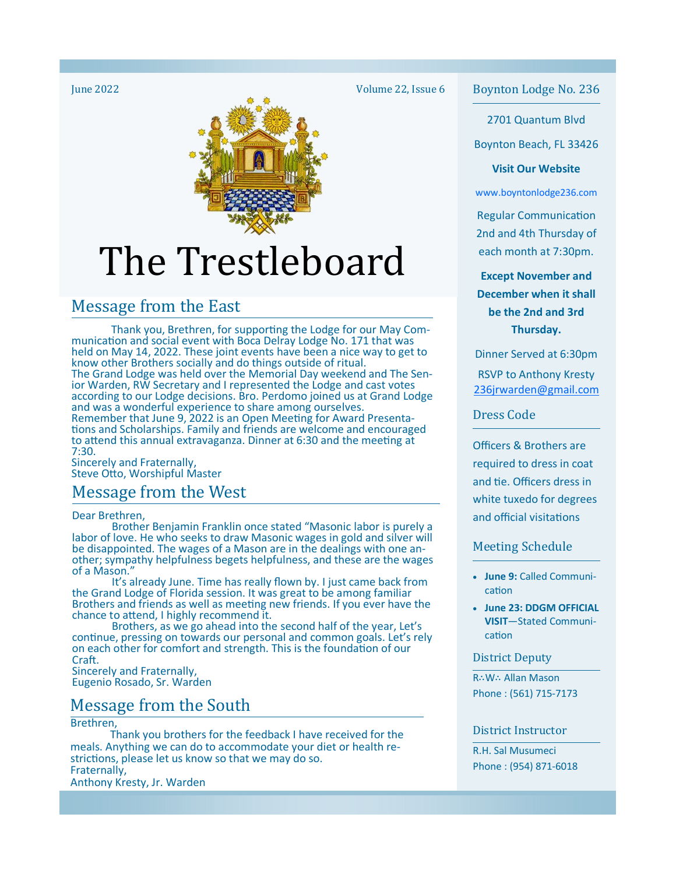# The Trestleboard

## Message from the East

Thank you, Brethren, for supporting the Lodge for our May Communication and social event with Boca Delray Lodge No. 171 that was held on May 14, 2022. These joint events have been a nice way to get to know other Brothers socially and do things outside of ritual. The Grand Lodge was held over the Memorial Day weekend and The Senior Warden, RW Secretary and I represented the Lodge and cast votes according to our Lodge decisions. Bro. Perdomo joined us at Grand Lodge and was a wonderful experience to share among ourselves. Remember that June 9, 2022 is an Open Meeting for Award Presentations and Scholarships. Family and friends are welcome and encouraged to attend this annual extravaganza. Dinner at 6:30 and the meeting at 7:30.

Sincerely and Fraternally, Steve Otto, Worshipful Master

## Message from the West

Dear Brethren,

 Brother Benjamin Franklin once stated "Masonic labor is purely a labor of love. He who seeks to draw Masonic wages in gold and silver will be disappointed. The wages of a Mason are in the dealings with one another; sympathy helpfulness begets helpfulness, and these are the wages of a Mason."

 It's already June. Time has really flown by. I just came back from the Grand Lodge of Florida session. It was great to be among familiar Brothers and friends as well as meeting new friends. If you ever have the chance to attend, I highly recommend it.

 Brothers, as we go ahead into the second half of the year, Let's continue, pressing on towards our personal and common goals. Let's rely on each other for comfort and strength. This is the foundation of our Craft.

Sincerely and Fraternally, Eugenio Rosado, Sr. Warden

## Message from the South

Brethren,

 Thank you brothers for the feedback I have received for the meals. Anything we can do to accommodate your diet or health restrictions, please let us know so that we may do so. Fraternally,

Anthony Kresty, Jr. Warden

Volume 22, Issue 6

June 2022 **Boynton Lodge No. 236 Boynton Lodge No. 236** 

2701 Quantum Blvd

Boynton Beach, FL 33426

#### **Visit Our Website**

www.boyntonlodge236.com

**Regular Communication** 2nd and 4th Thursday of each month at 7:30pm.

**Except November and December when it shall be the 2nd and 3rd Thursday.** 

Dinner Served at 6:30pm RSVP to Anthony Kresty 236jrwarden@gmail.com

Dress Code

Officers & Brothers are required to dress in coat and tie. Officers dress in white tuxedo for degrees and official visitations

#### Meeting Schedule

- **June 9:** Called Communication
- **June 23: DDGM OFFICIAL VISIT**—Stated Communication

#### District Deputy

R∴W∴ Allan Mason Phone : (561) 715-7173

#### District Instructor

R.H. Sal Musumeci Phone : (954) 871-6018

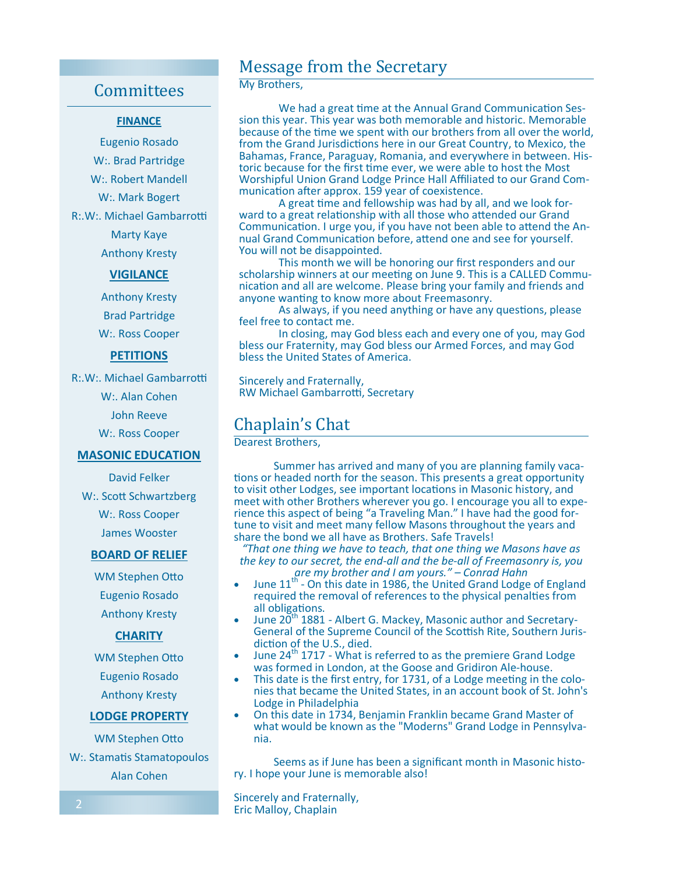## **Committees**

#### **FINANCE**

Eugenio Rosado W:. Brad Partridge W:. Robert Mandell W:. Mark Bogert R:.W:. Michael Gambarrotti Marty Kaye Anthony Kresty

#### **VIGILANCE**

Anthony Kresty Brad Partridge W:. Ross Cooper

#### **PETITIONS**

R:.W:. Michael Gambarrotti

W:. Alan Cohen

John Reeve

W:. Ross Cooper

#### **MASONIC EDUCATION**

David Felker W:. Scott Schwartzberg W:. Ross Cooper

James Wooster

#### **BOARD OF RELIEF**

WM Stephen Otto Eugenio Rosado Anthony Kresty

#### **CHARITY**

WM Stephen Otto Eugenio Rosado Anthony Kresty

#### **LODGE PROPERTY**

WM Stephen Otto W:. Stamatis Stamatopoulos Alan Cohen

## Message from the Secretary

#### My Brothers,

We had a great time at the Annual Grand Communication Session this year. This year was both memorable and historic. Memorable because of the time we spent with our brothers from all over the world, from the Grand Jurisdictions here in our Great Country, to Mexico, the Bahamas, France, Paraguay, Romania, and everywhere in between. Historic because for the first time ever, we were able to host the Most Worshipful Union Grand Lodge Prince Hall Affiliated to our Grand Communication after approx. 159 year of coexistence.

A great time and fellowship was had by all, and we look forward to a great relationship with all those who attended our Grand Communication. I urge you, if you have not been able to attend the Annual Grand Communication before, attend one and see for yourself. You will not be disappointed.

 This month we will be honoring our first responders and our scholarship winners at our meeting on June 9. This is a CALLED Communication and all are welcome. Please bring your family and friends and anyone wanting to know more about Freemasonry.

As always, if you need anything or have any questions, please feel free to contact me.

 In closing, may God bless each and every one of you, may God bless our Fraternity, may God bless our Armed Forces, and may God bless the United States of America.

Sincerely and Fraternally, RW Michael Gambarrotti, Secretary

## Chaplain's Chat

Dearest Brothers,

 Summer has arrived and many of you are planning family vaca tions or headed north for the season. This presents a great opportunity to visit other Lodges, see important locations in Masonic history, and meet with other Brothers wherever you go. I encourage you all to experience this aspect of being "a Traveling Man." I have had the good fortune to visit and meet many fellow Masons throughout the years and share the bond we all have as Brothers. Safe Travels!

*"That one thing we have to teach, that one thing we Masons have as the key to our secret, the end-all and the be-all of Freemasonry is, you are my brother and I am yours." – Conrad Hahn* 

- June 11<sup>th</sup> On this date in 1986, the United Grand Lodge of England required the removal of references to the physical penalties from all obligations.
- June 20<sup>th</sup> 1881 Albert G. Mackey, Masonic author and Secretary-General of the Supreme Council of the Scottish Rite, Southern Jurisdiction of the U.S., died.
- June 24<sup>th</sup> 1717 What is referred to as the premiere Grand Lodge was formed in London, at the Goose and Gridiron Ale-house.
- This date is the first entry, for 1731, of a Lodge meeting in the colonies that became the United States, in an account book of St. John's Lodge in Philadelphia
- On this date in 1734, Benjamin Franklin became Grand Master of what would be known as the "Moderns" Grand Lodge in Pennsylvania.

 Seems as if June has been a significant month in Masonic history. I hope your June is memorable also!

Sincerely and Fraternally, Eric Malloy, Chaplain